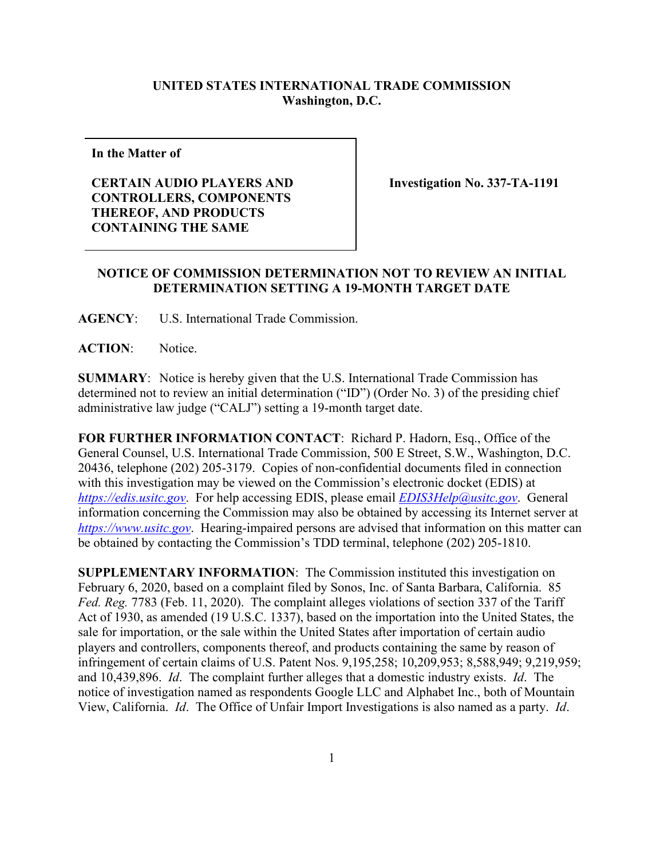## **UNITED STATES INTERNATIONAL TRADE COMMISSION Washington, D.C.**

**In the Matter of**

## **CERTAIN AUDIO PLAYERS AND CONTROLLERS, COMPONENTS THEREOF, AND PRODUCTS CONTAINING THE SAME**

**Investigation No. 337-TA-1191**

## **NOTICE OF COMMISSION DETERMINATION NOT TO REVIEW AN INITIAL DETERMINATION SETTING A 19-MONTH TARGET DATE**

**AGENCY**: U.S. International Trade Commission.

**ACTION**: Notice.

**SUMMARY**: Notice is hereby given that the U.S. International Trade Commission has determined not to review an initial determination ("ID") (Order No. 3) of the presiding chief administrative law judge ("CALJ") setting a 19-month target date.

**FOR FURTHER INFORMATION CONTACT**: Richard P. Hadorn, Esq., Office of the General Counsel, U.S. International Trade Commission, 500 E Street, S.W., Washington, D.C. 20436, telephone (202) 205-3179. Copies of non-confidential documents filed in connection with this investigation may be viewed on the Commission's electronic docket (EDIS) at *[https://edis.usitc.gov](https://edis.usitc.gov/)*. For help accessing EDIS, please email *[EDIS3Help@usitc.gov](mailto:EDIS3Help@usitc.gov)*. General information concerning the Commission may also be obtained by accessing its Internet server at *[https://www.usitc.gov](https://www.usitc.gov/)*. Hearing-impaired persons are advised that information on this matter can be obtained by contacting the Commission's TDD terminal, telephone (202) 205-1810.

**SUPPLEMENTARY INFORMATION**: The Commission instituted this investigation on February 6, 2020, based on a complaint filed by Sonos, Inc. of Santa Barbara, California. 85 *Fed. Reg.* 7783 (Feb. 11, 2020). The complaint alleges violations of section 337 of the Tariff Act of 1930, as amended (19 U.S.C. 1337), based on the importation into the United States, the sale for importation, or the sale within the United States after importation of certain audio players and controllers, components thereof, and products containing the same by reason of infringement of certain claims of U.S. Patent Nos. 9,195,258; 10,209,953; 8,588,949; 9,219,959; and 10,439,896. *Id*. The complaint further alleges that a domestic industry exists. *Id*. The notice of investigation named as respondents Google LLC and Alphabet Inc., both of Mountain View, California. *Id*. The Office of Unfair Import Investigations is also named as a party. *Id*.